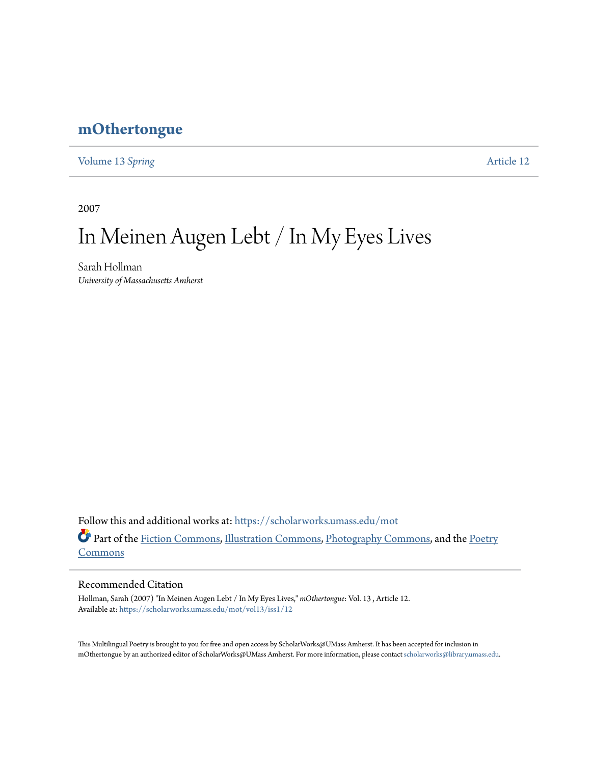## **[mOthertongue](https://scholarworks.umass.edu/mot?utm_source=scholarworks.umass.edu%2Fmot%2Fvol13%2Fiss1%2F12&utm_medium=PDF&utm_campaign=PDFCoverPages)**

[Volume 13](https://scholarworks.umass.edu/mot/vol13?utm_source=scholarworks.umass.edu%2Fmot%2Fvol13%2Fiss1%2F12&utm_medium=PDF&utm_campaign=PDFCoverPages) Spring **[Article 12](https://scholarworks.umass.edu/mot/vol13/iss1/12?utm_source=scholarworks.umass.edu%2Fmot%2Fvol13%2Fiss1%2F12&utm_medium=PDF&utm_campaign=PDFCoverPages)** 

2007

# In Meinen Augen Lebt / In My Eyes Lives

Sarah Hollman *University of Massachusetts Amherst*

Follow this and additional works at: [https://scholarworks.umass.edu/mot](https://scholarworks.umass.edu/mot?utm_source=scholarworks.umass.edu%2Fmot%2Fvol13%2Fiss1%2F12&utm_medium=PDF&utm_campaign=PDFCoverPages) Part of the [Fiction Commons](http://network.bepress.com/hgg/discipline/1151?utm_source=scholarworks.umass.edu%2Fmot%2Fvol13%2Fiss1%2F12&utm_medium=PDF&utm_campaign=PDFCoverPages), [Illustration Commons,](http://network.bepress.com/hgg/discipline/1135?utm_source=scholarworks.umass.edu%2Fmot%2Fvol13%2Fiss1%2F12&utm_medium=PDF&utm_campaign=PDFCoverPages) [Photography Commons,](http://network.bepress.com/hgg/discipline/1142?utm_source=scholarworks.umass.edu%2Fmot%2Fvol13%2Fiss1%2F12&utm_medium=PDF&utm_campaign=PDFCoverPages) and the [Poetry](http://network.bepress.com/hgg/discipline/1153?utm_source=scholarworks.umass.edu%2Fmot%2Fvol13%2Fiss1%2F12&utm_medium=PDF&utm_campaign=PDFCoverPages) [Commons](http://network.bepress.com/hgg/discipline/1153?utm_source=scholarworks.umass.edu%2Fmot%2Fvol13%2Fiss1%2F12&utm_medium=PDF&utm_campaign=PDFCoverPages)

### Recommended Citation

Hollman, Sarah (2007) "In Meinen Augen Lebt / In My Eyes Lives," *mOthertongue*: Vol. 13 , Article 12. Available at: [https://scholarworks.umass.edu/mot/vol13/iss1/12](https://scholarworks.umass.edu/mot/vol13/iss1/12?utm_source=scholarworks.umass.edu%2Fmot%2Fvol13%2Fiss1%2F12&utm_medium=PDF&utm_campaign=PDFCoverPages)

This Multilingual Poetry is brought to you for free and open access by ScholarWorks@UMass Amherst. It has been accepted for inclusion in mOthertongue by an authorized editor of ScholarWorks@UMass Amherst. For more information, please contact [scholarworks@library.umass.edu](mailto:scholarworks@library.umass.edu).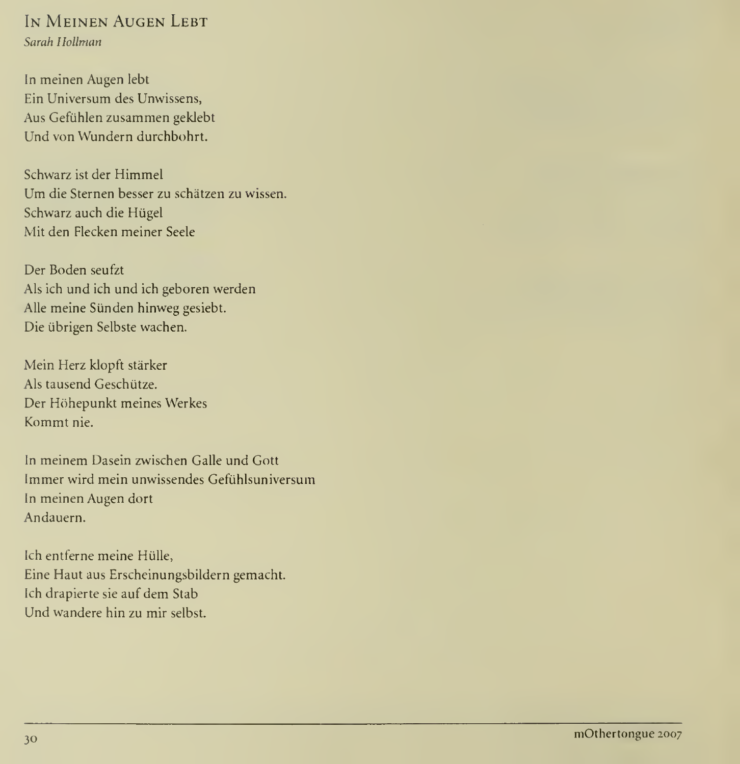#### In Meinen Augen Lebt Sarah Hollman

In meinen Augen lebt Ein Universum des Unwissens, Aus Gefiihlen zusammen geklebt Und von Wundern durchbohrt.

Schwarz ist der Himmel Um die Sternen besser zu schatzen zu wissen. Schwarz auch die Hiigel Mit den Flecken meiner Seek

Der Boden seufzt Als ich und ich und ich geboren werden Alle meine Siinden hinweg gesiebt. Die iibrigen Selbste wachen.

Mein Herz klopft starker Als tausend Geschiitze. Der Hohepunkt meines Werkes Kommt nie.

In meinem Dasein zwischen Galle und Gott Immer wird mein unwissendes Gefuhlsuniversum In meinen Augen dort Andauern.

Ich entferne meine Hiille, Eine Haut aus Erscheinungsbildern gemacht. Ich drapierte sie auf dem Stab Und wandere hin zu mir selbst.